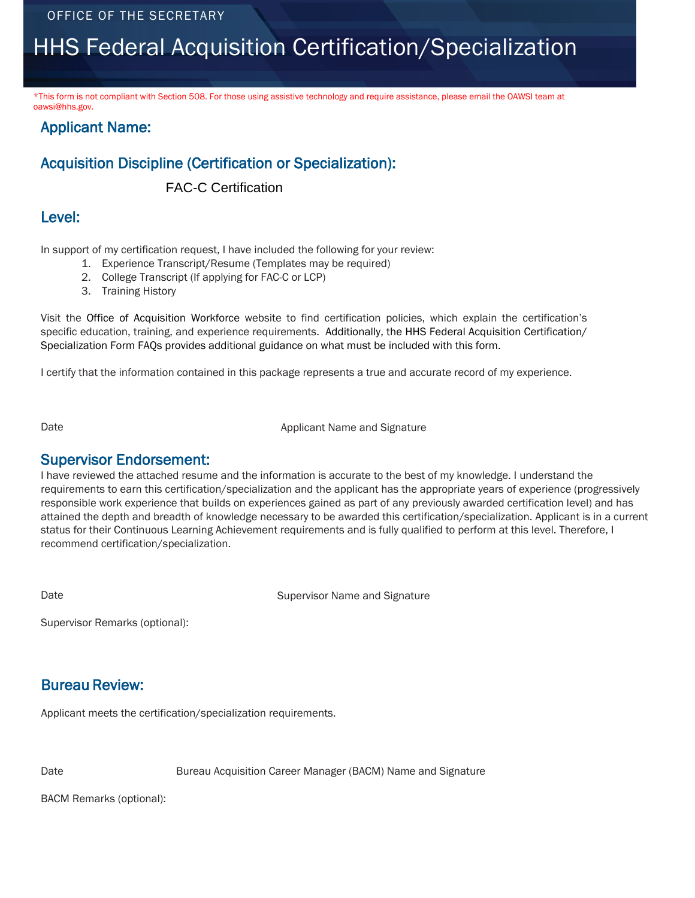# HHS Federal Acquisition Certification/Specialization

\*This form is not compliant with Section 508. For those using assistive technology and require assistance, please email the OAWSI team at oawsi@hhs.gov.

#### Applicant Name:

### Acquisition Discipline (Certification or Specialization):

FAC-C Certification

#### Level:

In support of my certification request, I have included the following for your review:

- 1. Experience Transcript/Resume (Templates may be required)
- 2. College Transcript (If applying for FAC-C or LCP)
- 3. Training History

Visit the Office of Acquisition Workforce website to find certification policies, which explain the certification's specific education, training, and experience requirements. Additionally, the HHS Federal Acquisition Certification/ Specialization Form FAQs provides additional guidance on what must be included wi[th this form.](mailto:OAWSI@HHS.GOVI)

[I certify that the information contained in this package represents a true and accurate record of my exper](mailto:OAWSI@HHS.GOVI)ience.

Date **Date Applicant Name and Signature** 

**Supervisor Endorsement:**<br>I have reviewed the attached resume and the information is accurate to the best of my knowledge. I understand the requirements to earn this certification/specialization and the applicant has the appropriate years of experience (progressively responsible work experience that builds on experiences gained as part of any previously awarded certification level) and has attained the depth and breadth of knowledge necessary to be awarded this certification/specialization. Applicant is in a current status for their Continuous Learning Achievement requirements and is fully qualified to perform at this level. Therefore, I recommend certification/specialization.

Date **Supervisor Name and Signature** Supervisor Name and Signature

Supervisor Remarks (optional):

#### Bureau Review:

Applicant meets the certification/specialization requirements.

Date **Bureau Acquisition Career Manager (BACM)** Name and Signature

BACM Remarks (optional):